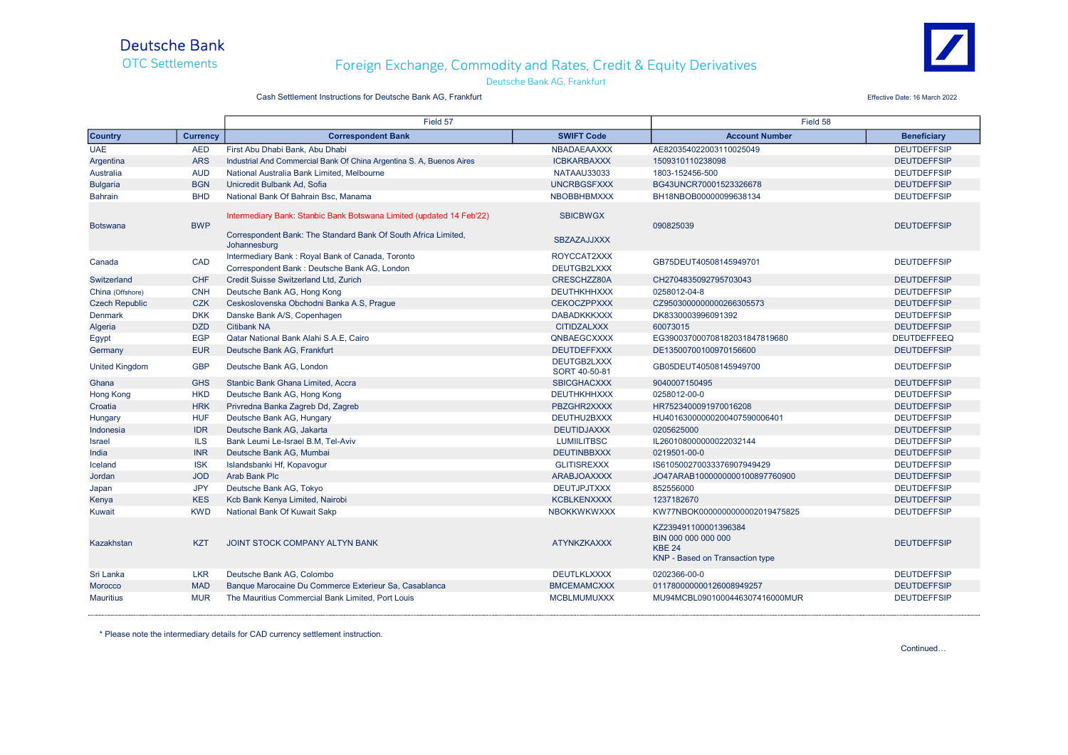

## OTC Settlements Foreign Exchange, Commodity and Rates, Credit & Equity Derivatives

Deutsche Bank AG, Frankfurt



#### Cash Settlement Instructions for Deutsche Bank AG, Frankfurt **Effective Date: 16 March 2022** Effective Date: 16 March 2022

|                       |                 | Field 57                                                                                                                                               |                                       | Field 58                                                                                        |                    |
|-----------------------|-----------------|--------------------------------------------------------------------------------------------------------------------------------------------------------|---------------------------------------|-------------------------------------------------------------------------------------------------|--------------------|
| <b>Country</b>        | <b>Currency</b> | <b>Correspondent Bank</b>                                                                                                                              | <b>SWIFT Code</b>                     | <b>Account Number</b>                                                                           | <b>Beneficiary</b> |
| <b>UAE</b>            | <b>AED</b>      | First Abu Dhabi Bank, Abu Dhabi                                                                                                                        | <b>NBADAEAAXXX</b>                    | AE820354022003110025049                                                                         | <b>DEUTDEFFSIP</b> |
| Argentina             | <b>ARS</b>      | Industrial And Commercial Bank Of China Argentina S. A. Buenos Aires                                                                                   | <b>ICBKARBAXXX</b>                    | 1509310110238098                                                                                | <b>DEUTDEFFSIP</b> |
| Australia             | <b>AUD</b>      | National Australia Bank Limited, Melbourne                                                                                                             | NATAAU33033                           | 1803-152456-500                                                                                 | <b>DEUTDEFFSIP</b> |
| <b>Bulgaria</b>       | <b>BGN</b>      | Unicredit Bulbank Ad. Sofia                                                                                                                            | <b>UNCRBGSFXXX</b>                    | BG43UNCR70001523326678                                                                          | <b>DEUTDEFFSIP</b> |
| Bahrain               | <b>BHD</b>      | National Bank Of Bahrain Bsc, Manama                                                                                                                   | <b>NBOBBHBMXXX</b>                    | BH18NBOB00000099638134                                                                          | <b>DEUTDEFFSIP</b> |
| <b>Botswana</b>       | <b>BWP</b>      | Intermediary Bank: Stanbic Bank Botswana Limited (updated 14 Feb'22)<br>Correspondent Bank: The Standard Bank Of South Africa Limited,<br>Johannesburg | <b>SBICBWGX</b><br><b>SBZAZAJJXXX</b> | 090825039                                                                                       | <b>DEUTDEFFSIP</b> |
| Canada                | CAD             | Intermediary Bank: Royal Bank of Canada, Toronto                                                                                                       | ROYCCAT2XXX                           | GB75DEUT40508145949701                                                                          | <b>DEUTDEFFSIP</b> |
|                       |                 | Correspondent Bank: Deutsche Bank AG, London                                                                                                           | DEUTGB2LXXX                           |                                                                                                 |                    |
| Switzerland           | <b>CHF</b>      | Credit Suisse Switzerland Ltd, Zurich                                                                                                                  | CRESCHZZ80A                           | CH2704835092795703043                                                                           | <b>DEUTDEFFSIP</b> |
| China (Offshore)      | <b>CNH</b>      | Deutsche Bank AG, Hong Kong                                                                                                                            | <b>DEUTHKHHXXX</b>                    | 0258012-04-8                                                                                    | <b>DEUTDEFFSIP</b> |
| <b>Czech Republic</b> | <b>CZK</b>      | Ceskoslovenska Obchodni Banka A.S. Prague                                                                                                              | <b>CEKOCZPPXXX</b>                    | CZ9503000000000266305573                                                                        | <b>DEUTDEFFSIP</b> |
| <b>Denmark</b>        | <b>DKK</b>      | Danske Bank A/S, Copenhagen                                                                                                                            | <b>DABADKKKXXX</b>                    | DK8330003996091392                                                                              | <b>DEUTDEFFSIP</b> |
| Algeria               | <b>DZD</b>      | <b>Citibank NA</b>                                                                                                                                     | <b>CITIDZALXXX</b>                    | 60073015                                                                                        | <b>DEUTDEFFSIP</b> |
| Egypt                 | <b>EGP</b>      | Qatar National Bank Alahi S.A.E. Cairo                                                                                                                 | QNBAEGCXXXX                           | EG390037000708182031847819680                                                                   | <b>DEUTDEFFEEQ</b> |
| Germany               | <b>EUR</b>      | Deutsche Bank AG, Frankfurt                                                                                                                            | <b>DEUTDEFFXXX</b>                    | DE13500700100970156600                                                                          | <b>DEUTDEFFSIP</b> |
| <b>United Kingdom</b> | <b>GBP</b>      | Deutsche Bank AG, London                                                                                                                               | <b>DEUTGB2LXXX</b><br>SORT 40-50-81   | GB05DEUT40508145949700                                                                          | <b>DEUTDEFFSIP</b> |
| Ghana                 | <b>GHS</b>      | Stanbic Bank Ghana Limited, Accra                                                                                                                      | <b>SBICGHACXXX</b>                    | 9040007150495                                                                                   | <b>DEUTDEFFSIP</b> |
| <b>Hong Kong</b>      | <b>HKD</b>      | Deutsche Bank AG, Hong Kong                                                                                                                            | <b>DEUTHKHHXXX</b>                    | 0258012-00-0                                                                                    | <b>DEUTDEFFSIP</b> |
| Croatia               | <b>HRK</b>      | Privredna Banka Zagreb Dd, Zagreb                                                                                                                      | PBZGHR2XXXX                           | HR7523400091970016208                                                                           | <b>DEUTDEFFSIP</b> |
| Hungary               | <b>HUF</b>      | Deutsche Bank AG, Hungary                                                                                                                              | DEUTHU2BXXX                           | HU40163000000200407590006401                                                                    | <b>DEUTDEFFSIP</b> |
| Indonesia             | <b>IDR</b>      | Deutsche Bank AG, Jakarta                                                                                                                              | <b>DEUTIDJAXXX</b>                    | 0205625000                                                                                      | <b>DEUTDEFFSIP</b> |
| <b>Israel</b>         | <b>ILS</b>      | Bank Leumi Le-Israel B.M. Tel-Aviv                                                                                                                     | <b>LUMIILITBSC</b>                    | IL260108000000022032144                                                                         | <b>DEUTDEFFSIP</b> |
| India                 | <b>INR</b>      | Deutsche Bank AG, Mumbai                                                                                                                               | <b>DEUTINBBXXX</b>                    | 0219501-00-0                                                                                    | <b>DEUTDEFFSIP</b> |
| Iceland               | <b>ISK</b>      | Islandsbanki Hf, Kopavogur                                                                                                                             | <b>GLITISREXXX</b>                    | IS610500270033376907949429                                                                      | <b>DEUTDEFFSIP</b> |
| Jordan                | <b>JOD</b>      | <b>Arab Bank Plc</b>                                                                                                                                   | <b>ARABJOAXXXX</b>                    | JO47ARAB1000000000100897760900                                                                  | <b>DEUTDEFFSIP</b> |
| Japan                 | <b>JPY</b>      | Deutsche Bank AG, Tokyo                                                                                                                                | <b>DEUTJPJTXXX</b>                    | 852556000                                                                                       | <b>DEUTDEFFSIP</b> |
| Kenya                 | <b>KES</b>      | Kcb Bank Kenya Limited, Nairobi                                                                                                                        | <b>KCBLKENXXXX</b>                    | 1237182670                                                                                      | <b>DEUTDEFFSIP</b> |
| Kuwait                | <b>KWD</b>      | National Bank Of Kuwait Sakp                                                                                                                           | <b>NBOKKWKWXXX</b>                    | KW77NBOK0000000000002019475825                                                                  | <b>DEUTDEFFSIP</b> |
| Kazakhstan            | <b>KZT</b>      | JOINT STOCK COMPANY ALTYN BANK                                                                                                                         | <b>ATYNKZKAXXX</b>                    | KZ239491100001396384<br>BIN 000 000 000 000<br><b>KBE 24</b><br>KNP - Based on Transaction type | <b>DEUTDEFFSIP</b> |
| Sri Lanka             | <b>LKR</b>      | Deutsche Bank AG. Colombo                                                                                                                              | <b>DEUTLKLXXXX</b>                    | 0202366-00-0                                                                                    | <b>DEUTDEFFSIP</b> |
| <b>Morocco</b>        | <b>MAD</b>      | Banque Marocaine Du Commerce Exterieur Sa, Casablanca                                                                                                  | <b>BMCEMAMCXXX</b>                    | 011780000000126008949257                                                                        | <b>DEUTDEFFSIP</b> |
| <b>Mauritius</b>      | <b>MUR</b>      | The Mauritius Commercial Bank Limited, Port Louis                                                                                                      | <b>MCBLMUMUXXX</b>                    | MU94MCBL0901000446307416000MUR                                                                  | <b>DEUTDEFFSIP</b> |

\* Please note the intermediary details for CAD currency settlement instruction.

Continued…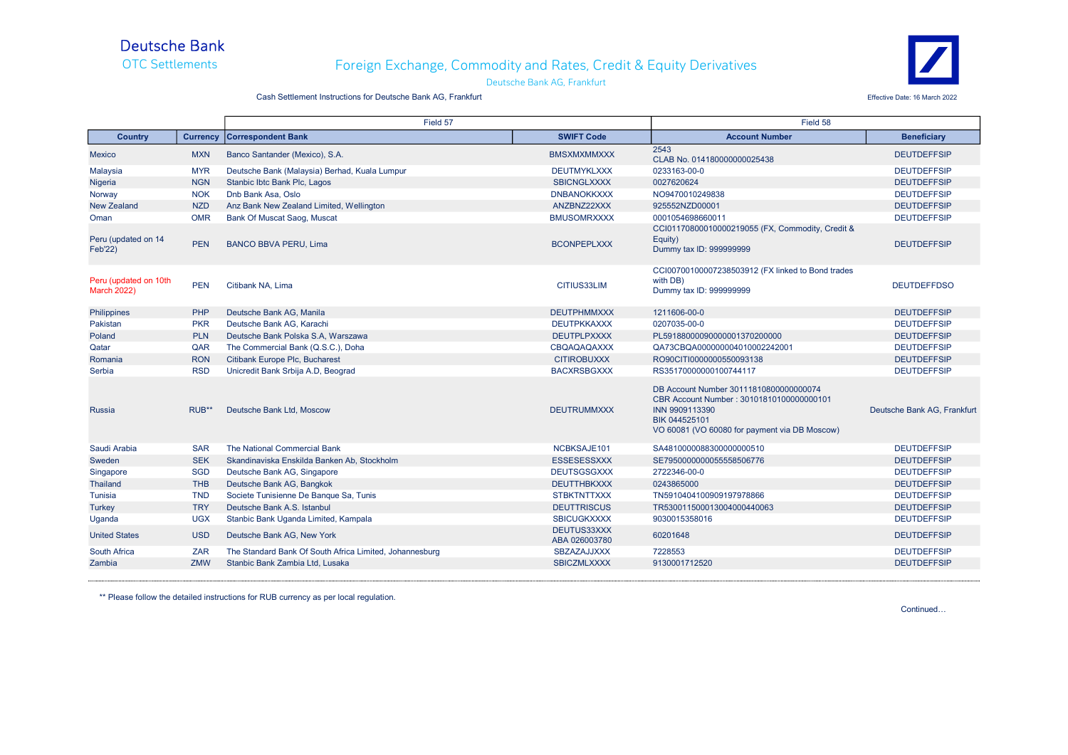# Deutsche Bank<br>OTC Settlements

#### Foreign Exchange, Commodity and Rates, Credit & Equity Derivatives Deutsche Bank AG, Frankfurt



Cash Settlement Instructions for Deutsche Bank AG, Frankfurt Effective Date: 16 March 2022

|                                             |                 | Field 57                                                |                              | Field 58                                                                                                                                                               |                             |
|---------------------------------------------|-----------------|---------------------------------------------------------|------------------------------|------------------------------------------------------------------------------------------------------------------------------------------------------------------------|-----------------------------|
| <b>Country</b>                              | <b>Currency</b> | <b>Correspondent Bank</b>                               | <b>SWIFT Code</b>            | <b>Account Number</b>                                                                                                                                                  | <b>Beneficiary</b>          |
| <b>Mexico</b>                               | <b>MXN</b>      | Banco Santander (Mexico), S.A.                          | <b>BMSXMXMMXXX</b>           | 2543<br>CLAB No. 014180000000025438                                                                                                                                    | <b>DEUTDEFFSIP</b>          |
| Malaysia                                    | <b>MYR</b>      | Deutsche Bank (Malaysia) Berhad, Kuala Lumpur           | <b>DEUTMYKLXXX</b>           | 0233163-00-0                                                                                                                                                           | <b>DEUTDEFFSIP</b>          |
| Nigeria                                     | <b>NGN</b>      | Stanbic Ibtc Bank Plc, Lagos                            | <b>SBICNGLXXXX</b>           | 0027620624                                                                                                                                                             | <b>DEUTDEFFSIP</b>          |
| Norway                                      | <b>NOK</b>      | Dnb Bank Asa, Oslo                                      | <b>DNBANOKKXXX</b>           | NO9470010249838                                                                                                                                                        | <b>DEUTDEFFSIP</b>          |
| <b>New Zealand</b>                          | <b>NZD</b>      | Anz Bank New Zealand Limited, Wellington                | ANZBNZ22XXX                  | 925552NZD00001                                                                                                                                                         | <b>DEUTDEFFSIP</b>          |
| Oman                                        | <b>OMR</b>      | Bank Of Muscat Saog, Muscat                             | <b>BMUSOMRXXXX</b>           | 0001054698660011                                                                                                                                                       | <b>DEUTDEFFSIP</b>          |
| Peru (updated on 14<br><b>Feb'22)</b>       | <b>PEN</b>      | <b>BANCO BBVA PERU, Lima</b>                            | <b>BCONPEPLXXX</b>           | CCI01170800010000219055 (FX, Commodity, Credit &<br>Equity)<br>Dummy tax ID: 999999999                                                                                 | <b>DEUTDEFFSIP</b>          |
| Peru (updated on 10th<br><b>March 2022)</b> | <b>PEN</b>      | Citibank NA, Lima                                       | CITIUS33LIM                  | CCI00700100007238503912 (FX linked to Bond trades<br>with DB)<br>Dummy tax ID: 999999999                                                                               | <b>DEUTDEFFDSO</b>          |
| <b>Philippines</b>                          | PHP             | Deutsche Bank AG, Manila                                | <b>DEUTPHMMXXX</b>           | 1211606-00-0                                                                                                                                                           | <b>DEUTDEFFSIP</b>          |
| Pakistan                                    | <b>PKR</b>      | Deutsche Bank AG. Karachi                               | <b>DEUTPKKAXXX</b>           | 0207035-00-0                                                                                                                                                           | <b>DEUTDEFFSIP</b>          |
| Poland                                      | <b>PLN</b>      | Deutsche Bank Polska S.A. Warszawa                      | <b>DEUTPLPXXXX</b>           | PL59188000090000001370200000                                                                                                                                           | <b>DEUTDEFFSIP</b>          |
| Qatar                                       | QAR             | The Commercial Bank (Q.S.C.), Doha                      | CBQAQAQAXXX                  | QA73CBQA000000004010002242001                                                                                                                                          | <b>DEUTDEFFSIP</b>          |
| Romania                                     | <b>RON</b>      | Citibank Europe Plc, Bucharest                          | <b>CITIROBUXXX</b>           | RO90CITI0000000550093138                                                                                                                                               | <b>DEUTDEFFSIP</b>          |
| Serbia                                      | <b>RSD</b>      | Unicredit Bank Srbija A.D, Beograd                      | <b>BACXRSBGXXX</b>           | RS35170000000100744117                                                                                                                                                 | <b>DEUTDEFFSIP</b>          |
| Russia                                      | RUB**           | Deutsche Bank Ltd, Moscow                               | <b>DEUTRUMMXXX</b>           | DB Account Number 30111810800000000074<br>CBR Account Number: 30101810100000000101<br>INN 9909113390<br>BIK 044525101<br>VO 60081 (VO 60080 for payment via DB Moscow) | Deutsche Bank AG, Frankfurt |
| Saudi Arabia                                | <b>SAR</b>      | The National Commercial Bank                            | NCBKSAJE101                  | SA48100000883000000000510                                                                                                                                              | <b>DEUTDEFFSIP</b>          |
| Sweden                                      | <b>SEK</b>      | Skandinaviska Enskilda Banken Ab, Stockholm             | <b>ESSESESSXXX</b>           | SE7950000000055558506776                                                                                                                                               | <b>DEUTDEFFSIP</b>          |
| Singapore                                   | <b>SGD</b>      | Deutsche Bank AG, Singapore                             | <b>DEUTSGSGXXX</b>           | 2722346-00-0                                                                                                                                                           | <b>DEUTDEFFSIP</b>          |
| <b>Thailand</b>                             | <b>THB</b>      | Deutsche Bank AG, Bangkok                               | <b>DEUTTHBKXXX</b>           | 0243865000                                                                                                                                                             | <b>DEUTDEFFSIP</b>          |
| Tunisia                                     | <b>TND</b>      | Societe Tunisienne De Banque Sa, Tunis                  | <b>STBKTNTTXXX</b>           | TN5910404100909197978866                                                                                                                                               | <b>DEUTDEFFSIP</b>          |
| Turkey                                      | <b>TRY</b>      | Deutsche Bank A.S. Istanbul                             | <b>DEUTTRISCUS</b>           | TR530011500013004000440063                                                                                                                                             | <b>DEUTDEFFSIP</b>          |
| Uganda                                      | <b>UGX</b>      | Stanbic Bank Uganda Limited, Kampala                    | <b>SBICUGKXXXX</b>           | 9030015358016                                                                                                                                                          | <b>DEUTDEFFSIP</b>          |
| <b>United States</b>                        | <b>USD</b>      | Deutsche Bank AG, New York                              | DEUTUS33XXX<br>ABA 026003780 | 60201648                                                                                                                                                               | <b>DEUTDEFFSIP</b>          |
| South Africa                                | <b>ZAR</b>      | The Standard Bank Of South Africa Limited, Johannesburg | SBZAZAJJXXX                  | 7228553                                                                                                                                                                | <b>DEUTDEFFSIP</b>          |
| Zambia                                      | <b>ZMW</b>      | Stanbic Bank Zambia Ltd. Lusaka                         | <b>SBICZMLXXXX</b>           | 9130001712520                                                                                                                                                          | <b>DEUTDEFFSIP</b>          |

\*\* Please follow the detailed instructions for RUB currency as per local regulation.

Continued…